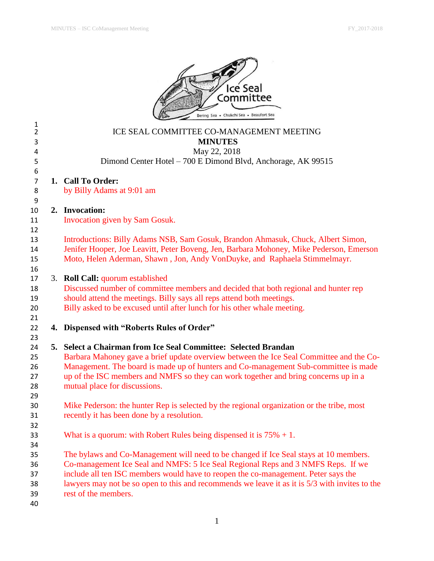

| 1<br>$\overline{2}$ |                | ICE SEAL COMMITTEE CO-MANAGEMENT MEETING                                                                                                                                       |  |  |  |  |
|---------------------|----------------|--------------------------------------------------------------------------------------------------------------------------------------------------------------------------------|--|--|--|--|
| 3                   | <b>MINUTES</b> |                                                                                                                                                                                |  |  |  |  |
| 4                   | May 22, 2018   |                                                                                                                                                                                |  |  |  |  |
| 5                   |                | Dimond Center Hotel - 700 E Dimond Blvd, Anchorage, AK 99515                                                                                                                   |  |  |  |  |
| 6<br>$\overline{7}$ |                | 1. Call To Order:                                                                                                                                                              |  |  |  |  |
| 8                   |                | by Billy Adams at 9:01 am                                                                                                                                                      |  |  |  |  |
| 9                   |                |                                                                                                                                                                                |  |  |  |  |
| 10                  |                | 2. Invocation:                                                                                                                                                                 |  |  |  |  |
| 11                  |                | Invocation given by Sam Gosuk.                                                                                                                                                 |  |  |  |  |
| 12                  |                |                                                                                                                                                                                |  |  |  |  |
| 13                  |                | Introductions: Billy Adams NSB, Sam Gosuk, Brandon Ahmasuk, Chuck, Albert Simon,                                                                                               |  |  |  |  |
| 14                  |                | Jenifer Hooper, Joe Leavitt, Peter Boveng, Jen, Barbara Mohoney, Mike Pederson, Emerson                                                                                        |  |  |  |  |
| 15                  |                | Moto, Helen Aderman, Shawn, Jon, Andy VonDuyke, and Raphaela Stimmelmayr.                                                                                                      |  |  |  |  |
| 16                  |                |                                                                                                                                                                                |  |  |  |  |
| 17                  |                | 3. Roll Call: quorum established                                                                                                                                               |  |  |  |  |
| 18                  |                | Discussed number of committee members and decided that both regional and hunter rep                                                                                            |  |  |  |  |
| 19                  |                | should attend the meetings. Billy says all reps attend both meetings.                                                                                                          |  |  |  |  |
| 20                  |                | Billy asked to be excused until after lunch for his other whale meeting.                                                                                                       |  |  |  |  |
| 21                  |                |                                                                                                                                                                                |  |  |  |  |
| 22                  |                | 4. Dispensed with "Roberts Rules of Order"                                                                                                                                     |  |  |  |  |
| 23                  |                |                                                                                                                                                                                |  |  |  |  |
| 24                  |                | 5. Select a Chairman from Ice Seal Committee: Selected Brandan                                                                                                                 |  |  |  |  |
| 25<br>26            |                | Barbara Mahoney gave a brief update overview between the Ice Seal Committee and the Co-<br>Management. The board is made up of hunters and Co-management Sub-committee is made |  |  |  |  |
| 27                  |                | up of the ISC members and NMFS so they can work together and bring concerns up in a                                                                                            |  |  |  |  |
| 28                  |                | mutual place for discussions.                                                                                                                                                  |  |  |  |  |
| 29                  |                |                                                                                                                                                                                |  |  |  |  |
| 30                  |                | Mike Pederson: the hunter Rep is selected by the regional organization or the tribe, most                                                                                      |  |  |  |  |
| 31                  |                | recently it has been done by a resolution.                                                                                                                                     |  |  |  |  |
| 32                  |                |                                                                                                                                                                                |  |  |  |  |
| 33                  |                | What is a quorum: with Robert Rules being dispensed it is $75\% + 1$ .                                                                                                         |  |  |  |  |
| 34                  |                |                                                                                                                                                                                |  |  |  |  |
| 35                  |                | The bylaws and Co-Management will need to be changed if Ice Seal stays at 10 members.                                                                                          |  |  |  |  |
| 36                  |                | Co-management Ice Seal and NMFS: 5 Ice Seal Regional Reps and 3 NMFS Reps. If we                                                                                               |  |  |  |  |
| 37                  |                | include all ten ISC members would have to reopen the co-management. Peter says the                                                                                             |  |  |  |  |
| 38                  |                | lawyers may not be so open to this and recommends we leave it as it is 5/3 with invites to the                                                                                 |  |  |  |  |
| 39                  |                | rest of the members.                                                                                                                                                           |  |  |  |  |
| 40                  |                |                                                                                                                                                                                |  |  |  |  |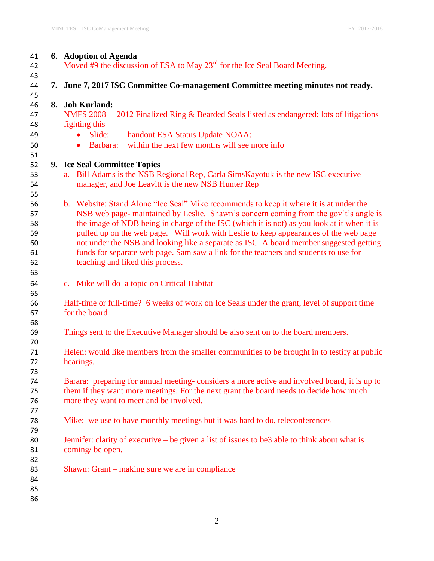| 41 | 6. Adoption of Agenda                                                                             |  |  |  |  |
|----|---------------------------------------------------------------------------------------------------|--|--|--|--|
| 42 | Moved #9 the discussion of ESA to May $23^{rd}$ for the Ice Seal Board Meeting.                   |  |  |  |  |
| 43 |                                                                                                   |  |  |  |  |
| 44 | 7. June 7, 2017 ISC Committee Co-management Committee meeting minutes not ready.                  |  |  |  |  |
| 45 |                                                                                                   |  |  |  |  |
| 46 | 8. Joh Kurland:                                                                                   |  |  |  |  |
| 47 | <b>NMFS 2008</b><br>2012 Finalized Ring & Bearded Seals listed as endangered: lots of litigations |  |  |  |  |
| 48 | fighting this                                                                                     |  |  |  |  |
| 49 | Slide:<br>handout ESA Status Update NOAA:<br>$\bullet$                                            |  |  |  |  |
| 50 | within the next few months will see more info<br>Barbara:<br>$\bullet$                            |  |  |  |  |
|    |                                                                                                   |  |  |  |  |
| 51 |                                                                                                   |  |  |  |  |
| 52 | 9. Ice Seal Committee Topics                                                                      |  |  |  |  |
| 53 | a. Bill Adams is the NSB Regional Rep, Carla SimsKayotuk is the new ISC executive                 |  |  |  |  |
| 54 | manager, and Joe Leavitt is the new NSB Hunter Rep                                                |  |  |  |  |
| 55 |                                                                                                   |  |  |  |  |
| 56 | b. Website: Stand Alone "Ice Seal" Mike recommends to keep it where it is at under the            |  |  |  |  |
| 57 | NSB web page- maintained by Leslie. Shawn's concern coming from the gov't's angle is              |  |  |  |  |
| 58 | the image of NDB being in charge of the ISC (which it is not) as you look at it when it is        |  |  |  |  |
| 59 | pulled up on the web page. Will work with Leslie to keep appearances of the web page              |  |  |  |  |
| 60 | not under the NSB and looking like a separate as ISC. A board member suggested getting            |  |  |  |  |
| 61 | funds for separate web page. Sam saw a link for the teachers and students to use for              |  |  |  |  |
| 62 | teaching and liked this process.                                                                  |  |  |  |  |
| 63 |                                                                                                   |  |  |  |  |
| 64 | c. Mike will do a topic on Critical Habitat                                                       |  |  |  |  |
| 65 |                                                                                                   |  |  |  |  |
| 66 | Half-time or full-time? 6 weeks of work on Ice Seals under the grant, level of support time       |  |  |  |  |
| 67 | for the board                                                                                     |  |  |  |  |
| 68 |                                                                                                   |  |  |  |  |
| 69 | Things sent to the Executive Manager should be also sent on to the board members.                 |  |  |  |  |
| 70 |                                                                                                   |  |  |  |  |
| 71 | Helen: would like members from the smaller communities to be brought in to testify at public      |  |  |  |  |
| 72 | hearings.                                                                                         |  |  |  |  |
| 73 |                                                                                                   |  |  |  |  |
| 74 | Barara: preparing for annual meeting-considers a more active and involved board, it is up to      |  |  |  |  |
| 75 | them if they want more meetings. For the next grant the board needs to decide how much            |  |  |  |  |
| 76 | more they want to meet and be involved.                                                           |  |  |  |  |
| 77 |                                                                                                   |  |  |  |  |
| 78 | Mike: we use to have monthly meetings but it was hard to do, teleconferences                      |  |  |  |  |
| 79 |                                                                                                   |  |  |  |  |
| 80 | Jennifer: clarity of executive – be given a list of issues to be3 able to think about what is     |  |  |  |  |
| 81 | coming/ be open.                                                                                  |  |  |  |  |
| 82 |                                                                                                   |  |  |  |  |
| 83 | Shawn: Grant – making sure we are in compliance                                                   |  |  |  |  |
| 84 |                                                                                                   |  |  |  |  |
| 85 |                                                                                                   |  |  |  |  |
| 86 |                                                                                                   |  |  |  |  |
|    |                                                                                                   |  |  |  |  |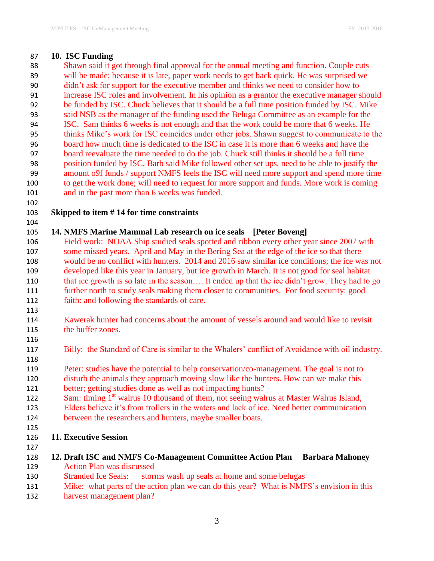## **10. ISC Funding**

 Shawn said it got through final approval for the annual meeting and function. Couple cuts will be made; because it is late, paper work needs to get back quick. He was surprised we didn't ask for support for the executive member and thinks we need to consider how to increase ISC roles and involvement. In his opinion as a grantor the executive manager should be funded by ISC. Chuck believes that it should be a full time position funded by ISC. Mike said NSB as the manager of the funding used the Beluga Committee as an example for the ISC. Sam thinks 6 weeks is not enough and that the work could be more that 6 weeks. He thinks Mike's work for ISC coincides under other jobs. Shawn suggest to communicate to the board how much time is dedicated to the ISC in case it is more than 6 weeks and have the board reevaluate the time needed to do the job. Chuck still thinks it should be a full time position funded by ISC. Barb said Mike followed other set ups, need to be able to justify the amount o9f funds / support NMFS feels the ISC will need more support and spend more time to get the work done; will need to request for more support and funds. More work is coming and in the past more than 6 weeks was funded.

## **Skipped to item # 14 for time constraints**

## **14. NMFS Marine Mammal Lab research on ice seals [Peter Boveng]**

 Field work: NOAA Ship studied seals spotted and ribbon every other year since 2007 with some missed years. April and May in the Bering Sea at the edge of the ice so that there would be no conflict with hunters. 2014 and 2016 saw similar ice conditions; the ice was not developed like this year in January, but ice growth in March. It is not good for seal habitat that ice growth is so late in the season…. It ended up that the ice didn't grow. They had to go further north to study seals making them closer to communities. For food security: good faith: and following the standards of care.

- Kawerak hunter had concerns about the amount of vessels around and would like to revisit 115 the buffer zones.
- Billy: the Standard of Care is similar to the Whalers' conflict of Avoidance with oil industry.
- Peter: studies have the potential to help conservation/co-management. The goal is not to disturb the animals they approach moving slow like the hunters. How can we make this
- better; getting studies done as well as not impacting hunts?
- 122 Sam: timing 1<sup>st</sup> walrus 10 thousand of them, not seeing walrus at Master Walrus Island,
- Elders believe it's from trollers in the waters and lack of ice. Need better communication
- between the researchers and hunters, maybe smaller boats.
- 
- **11. Executive Session**
- 
- **12. Draft ISC and NMFS Co-Management Committee Action Plan Barbara Mahoney** Action Plan was discussed
- Stranded Ice Seals: storms wash up seals at home and some belugas
- Mike: what parts of the action plan we can do this year? What is NMFS's envision in this
- harvest management plan?